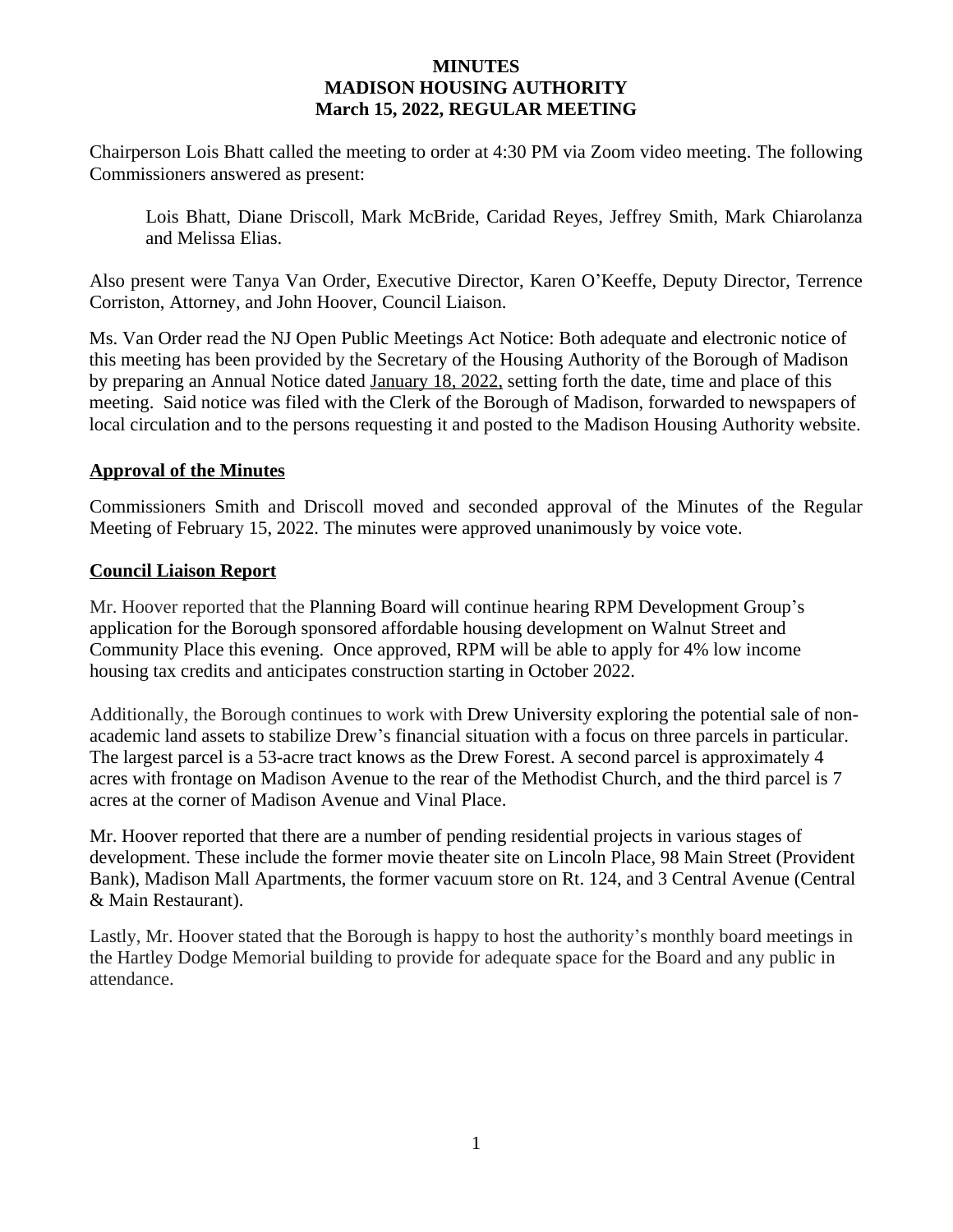#### **MINUTES MADISON HOUSING AUTHORITY March 15, 2022, REGULAR MEETING**

Chairperson Lois Bhatt called the meeting to order at 4:30 PM via Zoom video meeting. The following Commissioners answered as present:

Lois Bhatt, Diane Driscoll, Mark McBride, Caridad Reyes, Jeffrey Smith, Mark Chiarolanza and Melissa Elias.

Also present were Tanya Van Order, Executive Director, Karen O'Keeffe, Deputy Director, Terrence Corriston, Attorney, and John Hoover, Council Liaison.

Ms. Van Order read the NJ Open Public Meetings Act Notice: Both adequate and electronic notice of this meeting has been provided by the Secretary of the Housing Authority of the Borough of Madison by preparing an Annual Notice dated January 18, 2022, setting forth the date, time and place of this meeting. Said notice was filed with the Clerk of the Borough of Madison, forwarded to newspapers of local circulation and to the persons requesting it and posted to the Madison Housing Authority website.

### **Approval of the Minutes**

Commissioners Smith and Driscoll moved and seconded approval of the Minutes of the Regular Meeting of February 15, 2022. The minutes were approved unanimously by voice vote.

#### **Council Liaison Report**

Mr. Hoover reported that the Planning Board will continue hearing RPM Development Group's application for the Borough sponsored affordable housing development on Walnut Street and Community Place this evening. Once approved, RPM will be able to apply for 4% low income housing tax credits and anticipates construction starting in October 2022.

Additionally, the Borough continues to work with Drew University exploring the potential sale of nonacademic land assets to stabilize Drew's financial situation with a focus on three parcels in particular. The largest parcel is a 53-acre tract knows as the Drew Forest. A second parcel is approximately 4 acres with frontage on Madison Avenue to the rear of the Methodist Church, and the third parcel is 7 acres at the corner of Madison Avenue and Vinal Place.

Mr. Hoover reported that there are a number of pending residential projects in various stages of development. These include the former movie theater site on Lincoln Place, 98 Main Street (Provident Bank), Madison Mall Apartments, the former vacuum store on Rt. 124, and 3 Central Avenue (Central & Main Restaurant).

Lastly, Mr. Hoover stated that the Borough is happy to host the authority's monthly board meetings in the Hartley Dodge Memorial building to provide for adequate space for the Board and any public in attendance.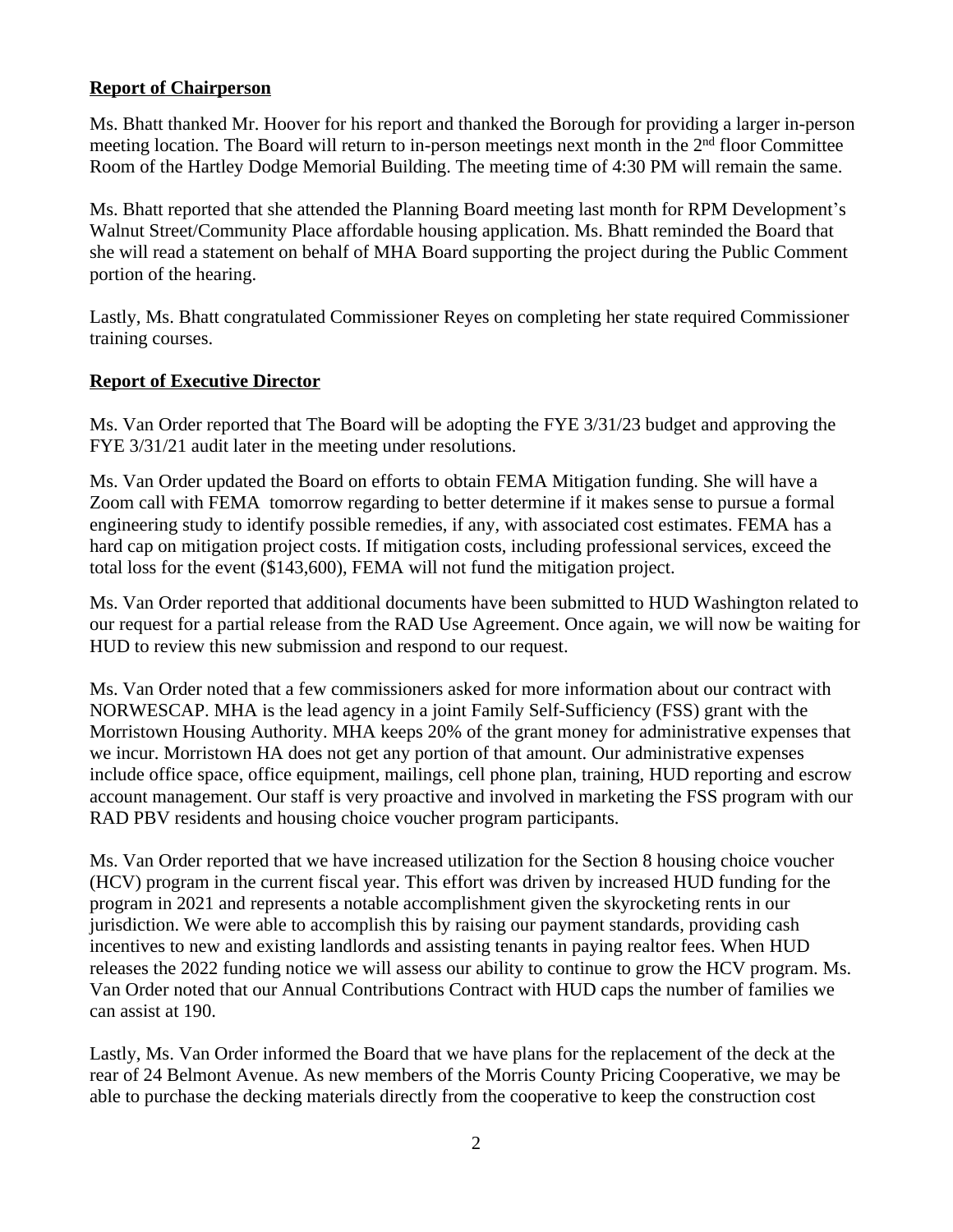#### **Report of Chairperson**

Ms. Bhatt thanked Mr. Hoover for his report and thanked the Borough for providing a larger in-person meeting location. The Board will return to in-person meetings next month in the 2<sup>nd</sup> floor Committee Room of the Hartley Dodge Memorial Building. The meeting time of 4:30 PM will remain the same.

Ms. Bhatt reported that she attended the Planning Board meeting last month for RPM Development's Walnut Street/Community Place affordable housing application. Ms. Bhatt reminded the Board that she will read a statement on behalf of MHA Board supporting the project during the Public Comment portion of the hearing.

Lastly, Ms. Bhatt congratulated Commissioner Reyes on completing her state required Commissioner training courses.

### **Report of Executive Director**

Ms. Van Order reported that The Board will be adopting the FYE 3/31/23 budget and approving the FYE 3/31/21 audit later in the meeting under resolutions.

Ms. Van Order updated the Board on efforts to obtain FEMA Mitigation funding. She will have a Zoom call with FEMA tomorrow regarding to better determine if it makes sense to pursue a formal engineering study to identify possible remedies, if any, with associated cost estimates. FEMA has a hard cap on mitigation project costs. If mitigation costs, including professional services, exceed the total loss for the event (\$143,600), FEMA will not fund the mitigation project.

Ms. Van Order reported that additional documents have been submitted to HUD Washington related to our request for a partial release from the RAD Use Agreement. Once again, we will now be waiting for HUD to review this new submission and respond to our request.

Ms. Van Order noted that a few commissioners asked for more information about our contract with NORWESCAP. MHA is the lead agency in a joint Family Self-Sufficiency (FSS) grant with the Morristown Housing Authority. MHA keeps 20% of the grant money for administrative expenses that we incur. Morristown HA does not get any portion of that amount. Our administrative expenses include office space, office equipment, mailings, cell phone plan, training, HUD reporting and escrow account management. Our staff is very proactive and involved in marketing the FSS program with our RAD PBV residents and housing choice voucher program participants.

Ms. Van Order reported that we have increased utilization for the Section 8 housing choice voucher (HCV) program in the current fiscal year. This effort was driven by increased HUD funding for the program in 2021 and represents a notable accomplishment given the skyrocketing rents in our jurisdiction. We were able to accomplish this by raising our payment standards, providing cash incentives to new and existing landlords and assisting tenants in paying realtor fees. When HUD releases the 2022 funding notice we will assess our ability to continue to grow the HCV program. Ms. Van Order noted that our Annual Contributions Contract with HUD caps the number of families we can assist at 190.

Lastly, Ms. Van Order informed the Board that we have plans for the replacement of the deck at the rear of 24 Belmont Avenue. As new members of the Morris County Pricing Cooperative, we may be able to purchase the decking materials directly from the cooperative to keep the construction cost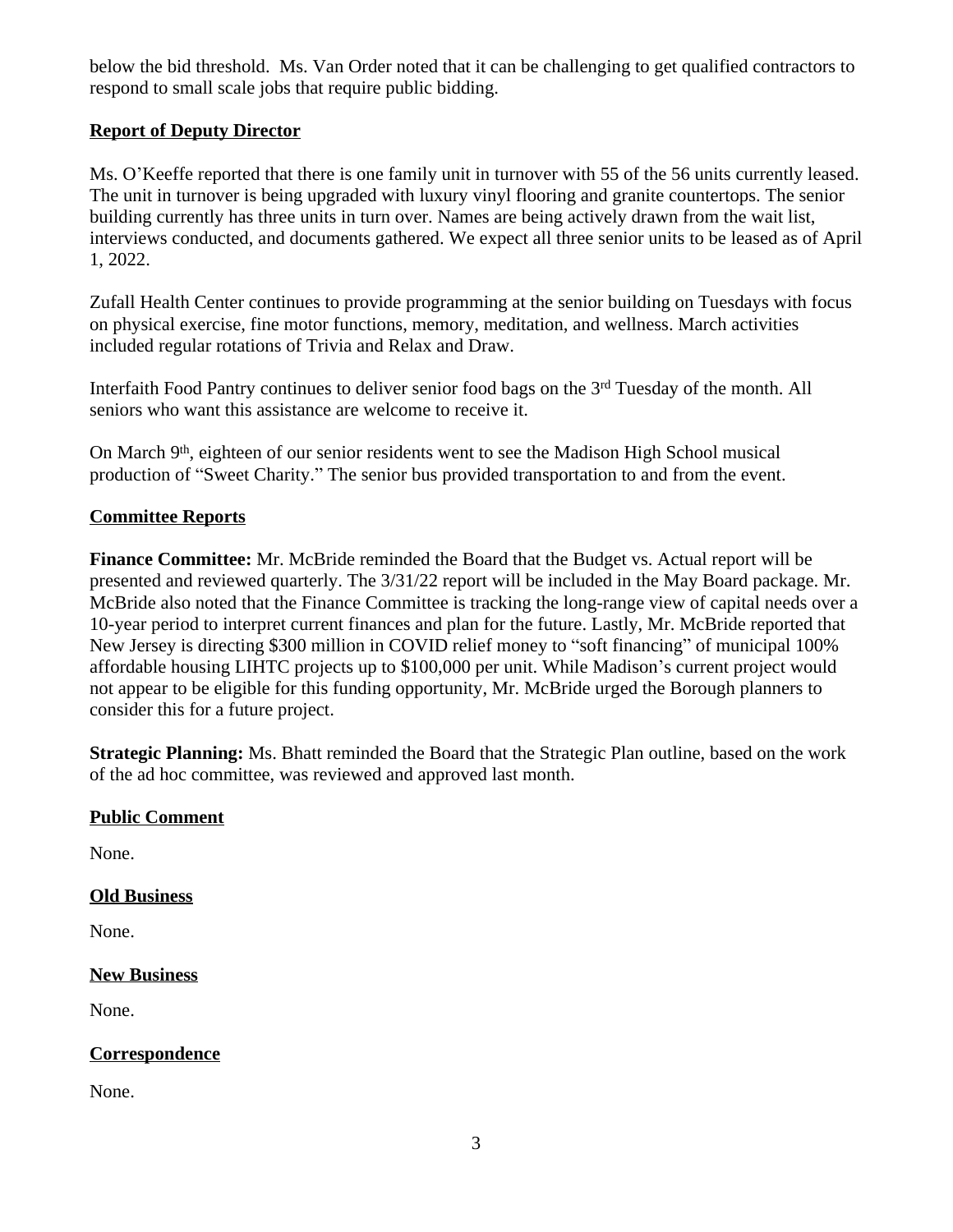below the bid threshold. Ms. Van Order noted that it can be challenging to get qualified contractors to respond to small scale jobs that require public bidding.

# **Report of Deputy Director**

Ms. O'Keeffe reported that there is one family unit in turnover with 55 of the 56 units currently leased. The unit in turnover is being upgraded with luxury vinyl flooring and granite countertops. The senior building currently has three units in turn over. Names are being actively drawn from the wait list, interviews conducted, and documents gathered. We expect all three senior units to be leased as of April 1, 2022.

Zufall Health Center continues to provide programming at the senior building on Tuesdays with focus on physical exercise, fine motor functions, memory, meditation, and wellness. March activities included regular rotations of Trivia and Relax and Draw.

Interfaith Food Pantry continues to deliver senior food bags on the 3rd Tuesday of the month. All seniors who want this assistance are welcome to receive it.

On March 9<sup>th</sup>, eighteen of our senior residents went to see the Madison High School musical production of "Sweet Charity." The senior bus provided transportation to and from the event.

# **Committee Reports**

**Finance Committee:** Mr. McBride reminded the Board that the Budget vs. Actual report will be presented and reviewed quarterly. The 3/31/22 report will be included in the May Board package. Mr. McBride also noted that the Finance Committee is tracking the long-range view of capital needs over a 10-year period to interpret current finances and plan for the future. Lastly, Mr. McBride reported that New Jersey is directing \$300 million in COVID relief money to "soft financing" of municipal 100% affordable housing LIHTC projects up to \$100,000 per unit. While Madison's current project would not appear to be eligible for this funding opportunity, Mr. McBride urged the Borough planners to consider this for a future project.

**Strategic Planning:** Ms. Bhatt reminded the Board that the Strategic Plan outline, based on the work of the ad hoc committee, was reviewed and approved last month.

## **Public Comment**

None.

## **Old Business**

None.

# **New Business**

None.

# **Correspondence**

None.